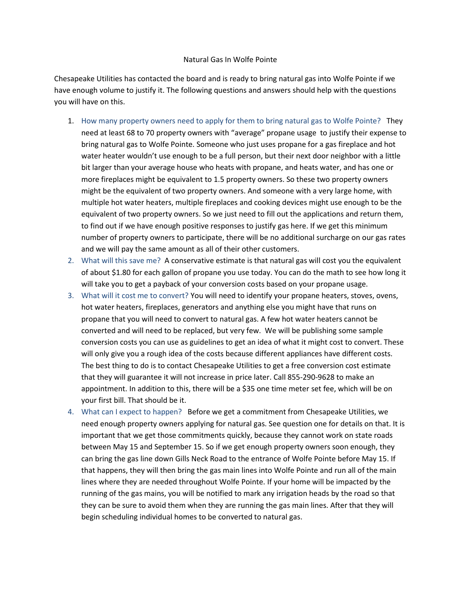## Natural Gas In Wolfe Pointe

Chesapeake Utilities has contacted the board and is ready to bring natural gas into Wolfe Pointe if we have enough volume to justify it. The following questions and answers should help with the questions you will have on this.

- 1. How many property owners need to apply for them to bring natural gas to Wolfe Pointe? They need at least 68 to 70 property owners with "average" propane usage to justify their expense to bring natural gas to Wolfe Pointe. Someone who just uses propane for a gas fireplace and hot water heater wouldn't use enough to be a full person, but their next door neighbor with a little bit larger than your average house who heats with propane, and heats water, and has one or more fireplaces might be equivalent to 1.5 property owners. So these two property owners might be the equivalent of two property owners. And someone with a very large home, with multiple hot water heaters, multiple fireplaces and cooking devices might use enough to be the equivalent of two property owners. So we just need to fill out the applications and return them, to find out if we have enough positive responses to justify gas here. If we get this minimum number of property owners to participate, there will be no additional surcharge on our gas rates and we will pay the same amount as all of their other customers.
- 2. What will this save me? A conservative estimate is that natural gas will cost you the equivalent of about \$1.80 for each gallon of propane you use today. You can do the math to see how long it will take you to get a payback of your conversion costs based on your propane usage.
- 3. What will it cost me to convert? You will need to identify your propane heaters, stoves, ovens, hot water heaters, fireplaces, generators and anything else you might have that runs on propane that you will need to convert to natural gas. A few hot water heaters cannot be converted and will need to be replaced, but very few. We will be publishing some sample conversion costs you can use as guidelines to get an idea of what it might cost to convert. These will only give you a rough idea of the costs because different appliances have different costs. The best thing to do is to contact Chesapeake Utilities to get a free conversion cost estimate that they will guarantee it will not increase in price later. Call 855-290-9628 to make an appointment. In addition to this, there will be a \$35 one time meter set fee, which will be on your first bill. That should be it.
- 4. What can I expect to happen? Before we get a commitment from Chesapeake Utilities, we need enough property owners applying for natural gas. See question one for details on that. It is important that we get those commitments quickly, because they cannot work on state roads between May 15 and September 15. So if we get enough property owners soon enough, they can bring the gas line down Gills Neck Road to the entrance of Wolfe Pointe before May 15. If that happens, they will then bring the gas main lines into Wolfe Pointe and run all of the main lines where they are needed throughout Wolfe Pointe. If your home will be impacted by the running of the gas mains, you will be notified to mark any irrigation heads by the road so that they can be sure to avoid them when they are running the gas main lines. After that they will begin scheduling individual homes to be converted to natural gas.